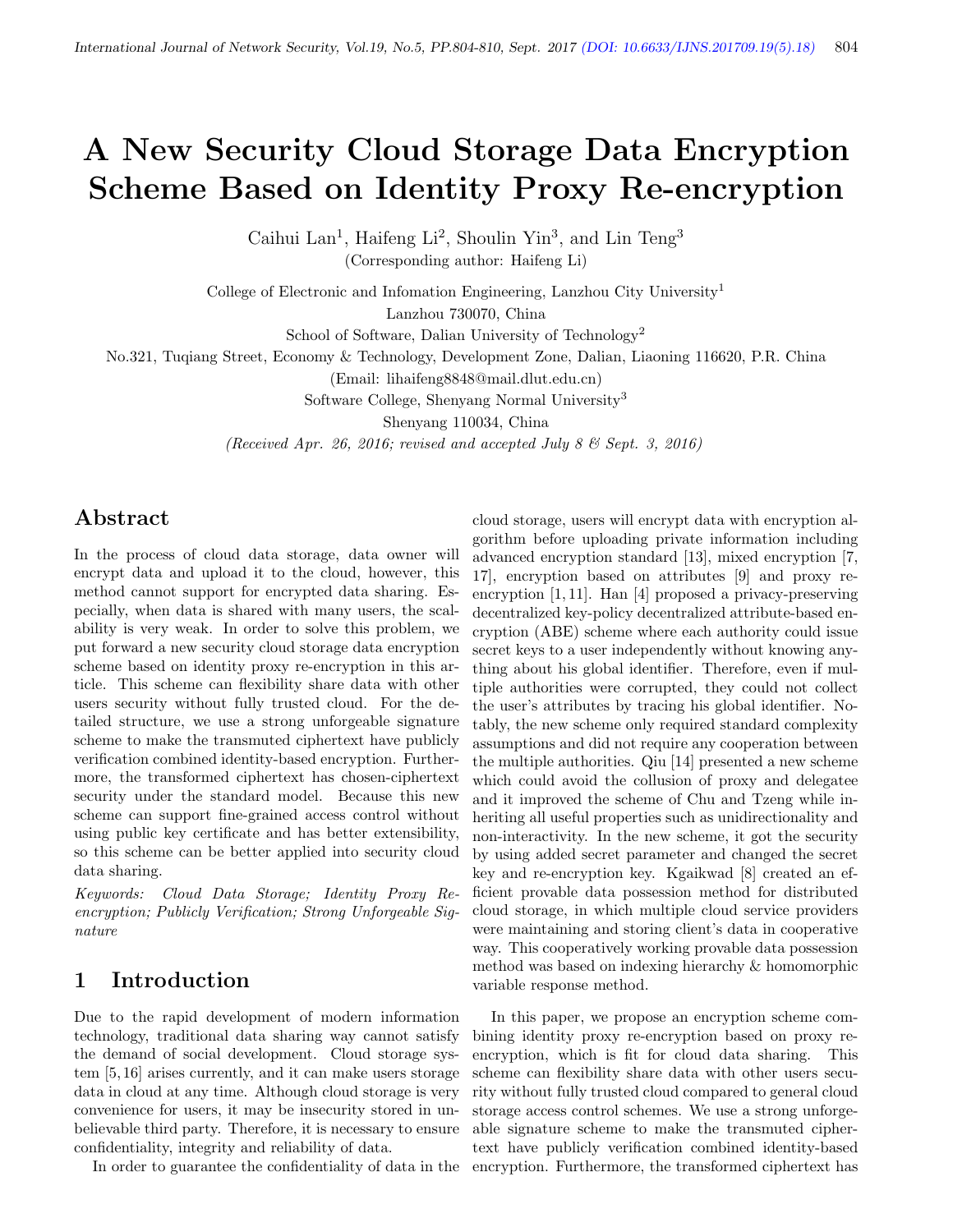# A New Security Cloud Storage Data Encryption Scheme Based on Identity Proxy Re-encryption

Caihui Lan<sup>1</sup>, Haifeng Li<sup>2</sup>, Shoulin Yin<sup>3</sup>, and Lin Teng<sup>3</sup> (Corresponding author: Haifeng Li)

College of Electronic and Infomation Engineering, Lanzhou City University<sup>1</sup> Lanzhou 730070, China

School of Software, Dalian University of Technology<sup>2</sup>

No.321, Tuqiang Street, Economy & Technology, Development Zone, Dalian, Liaoning 116620, P.R. China

(Email: lihaifeng8848@mail.dlut.edu.cn)

Software College, Shenyang Normal University<sup>3</sup>

Shenyang 110034, China

(Received Apr. 26, 2016; revised and accepted July 8  $\mathcal{B}$  Sept. 3, 2016)

## Abstract

In the process of cloud data storage, data owner will encrypt data and upload it to the cloud, however, this method cannot support for encrypted data sharing. Especially, when data is shared with many users, the scalability is very weak. In order to solve this problem, we put forward a new security cloud storage data encryption scheme based on identity proxy re-encryption in this article. This scheme can flexibility share data with other users security without fully trusted cloud. For the detailed structure, we use a strong unforgeable signature scheme to make the transmuted ciphertext have publicly verification combined identity-based encryption. Furthermore, the transformed ciphertext has chosen-ciphertext security under the standard model. Because this new scheme can support fine-grained access control without using public key certificate and has better extensibility, so this scheme can be better applied into security cloud data sharing.

Keywords: Cloud Data Storage; Identity Proxy Reencryption; Publicly Verification; Strong Unforgeable Signature

## 1 Introduction

Due to the rapid development of modern information technology, traditional data sharing way cannot satisfy the demand of social development. Cloud storage system [5, 16] arises currently, and it can make users storage data in cloud at any time. Although cloud storage is very convenience for users, it may be insecurity stored in unbelievable third party. Therefore, it is necessary to ensure confidentiality, integrity and reliability of data.

In order to guarantee the confidentiality of data in the

cloud storage, users will encrypt data with encryption algorithm before uploading private information including advanced encryption standard [13], mixed encryption [7, 17], encryption based on attributes [9] and proxy reencryption [1, 11]. Han [4] proposed a privacy-preserving decentralized key-policy decentralized attribute-based encryption (ABE) scheme where each authority could issue secret keys to a user independently without knowing anything about his global identifier. Therefore, even if multiple authorities were corrupted, they could not collect the user's attributes by tracing his global identifier. Notably, the new scheme only required standard complexity assumptions and did not require any cooperation between the multiple authorities. Qiu [14] presented a new scheme which could avoid the collusion of proxy and delegatee and it improved the scheme of Chu and Tzeng while inheriting all useful properties such as unidirectionality and non-interactivity. In the new scheme, it got the security by using added secret parameter and changed the secret key and re-encryption key. Kgaikwad [8] created an efficient provable data possession method for distributed cloud storage, in which multiple cloud service providers were maintaining and storing client's data in cooperative way. This cooperatively working provable data possession method was based on indexing hierarchy & homomorphic variable response method.

In this paper, we propose an encryption scheme combining identity proxy re-encryption based on proxy reencryption, which is fit for cloud data sharing. This scheme can flexibility share data with other users security without fully trusted cloud compared to general cloud storage access control schemes. We use a strong unforgeable signature scheme to make the transmuted ciphertext have publicly verification combined identity-based encryption. Furthermore, the transformed ciphertext has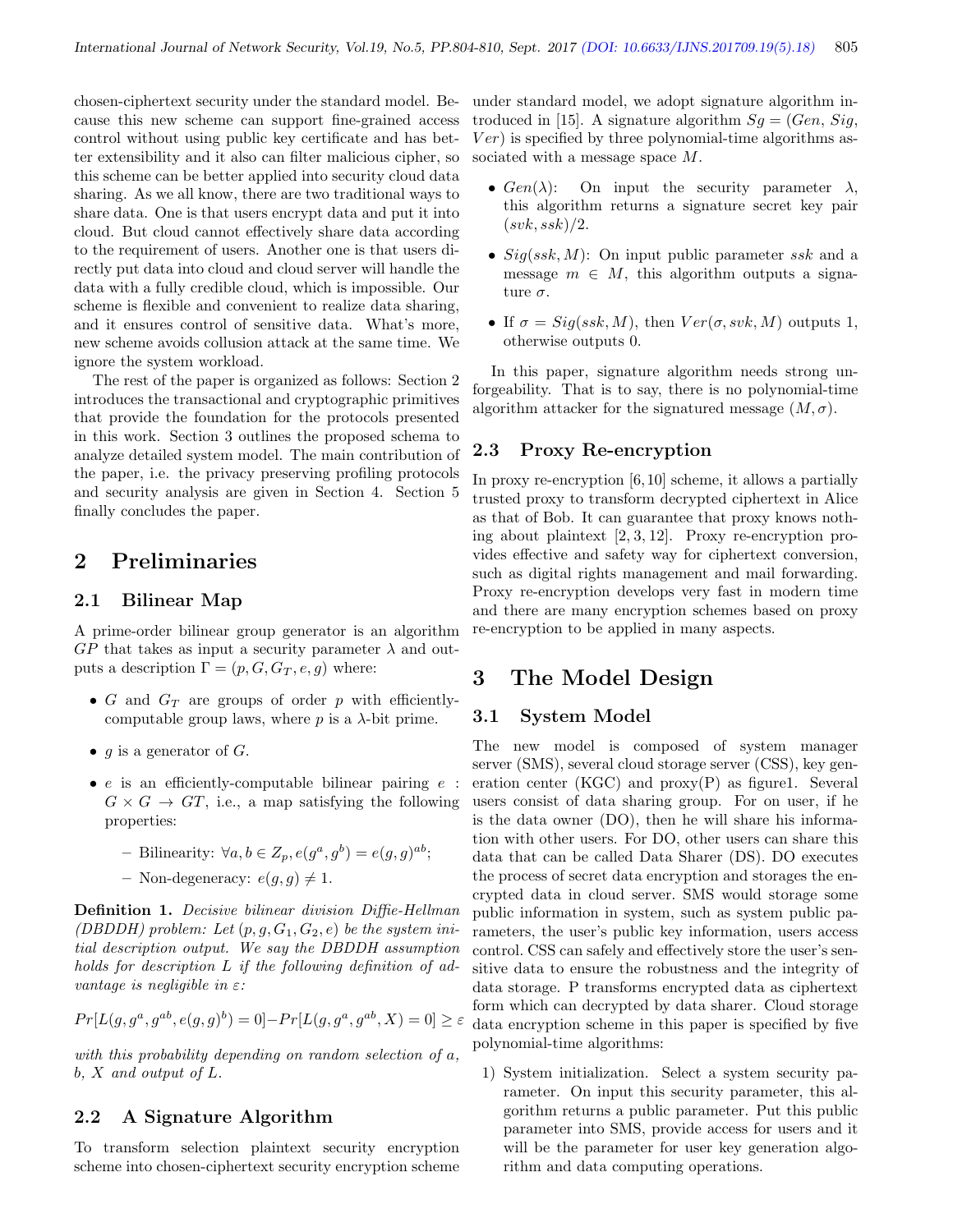chosen-ciphertext security under the standard model. Because this new scheme can support fine-grained access control without using public key certificate and has better extensibility and it also can filter malicious cipher, so this scheme can be better applied into security cloud data sharing. As we all know, there are two traditional ways to share data. One is that users encrypt data and put it into cloud. But cloud cannot effectively share data according to the requirement of users. Another one is that users directly put data into cloud and cloud server will handle the data with a fully credible cloud, which is impossible. Our scheme is flexible and convenient to realize data sharing, and it ensures control of sensitive data. What's more, new scheme avoids collusion attack at the same time. We ignore the system workload.

The rest of the paper is organized as follows: Section 2 introduces the transactional and cryptographic primitives that provide the foundation for the protocols presented in this work. Section 3 outlines the proposed schema to analyze detailed system model. The main contribution of the paper, i.e. the privacy preserving profiling protocols and security analysis are given in Section 4. Section 5 finally concludes the paper.

## 2 Preliminaries

#### 2.1 Bilinear Map

A prime-order bilinear group generator is an algorithm  $GP$  that takes as input a security parameter  $\lambda$  and outputs a description  $\Gamma = (p, G, G_T, e, g)$  where:

- G and  $G_T$  are groups of order p with efficientlycomputable group laws, where  $p$  is a  $\lambda$ -bit prime.
- $g$  is a generator of  $G$ .
- e is an efficiently-computable bilinear pairing  $e$ :  $G \times G \rightarrow GT$ , i.e., a map satisfying the following properties:
	- Bilinearity:  $\forall a, b \in Z_p, e(g^a, g^b) = e(g, g)^{ab};$
	- Non-degeneracy:  $e(q, q) \neq 1$ .

Definition 1. Decisive bilinear division Diffie-Hellman (DBDDH) problem: Let  $(p, g, G_1, G_2, e)$  be the system initial description output. We say the DBDDH assumption holds for description L if the following definition of advantage is negligible in  $\varepsilon$ :

$$
Pr[L(g, g^a, g^{ab}, e(g, g)^b) = 0] - Pr[L(g, g^a, g^{ab}, X) = 0] \ge \varepsilon
$$

with this probability depending on random selection of a, b, X and output of L.

#### 2.2 A Signature Algorithm

To transform selection plaintext security encryption scheme into chosen-ciphertext security encryption scheme

under standard model, we adopt signature algorithm introduced in [15]. A signature algorithm  $Sg = (Gen, Sig,$  $Ver)$  is specified by three polynomial-time algorithms associated with a message space M.

- $Gen(\lambda)$ : On input the security parameter  $\lambda$ , this algorithm returns a signature secret key pair  $(svk, ssk)/2.$
- $Sig(ssk, M)$ : On input public parameter ssk and a message  $m \in M$ , this algorithm outputs a signature  $\sigma$ .
- If  $\sigma = Sig(ssk, M)$ , then  $Ver(\sigma, svk, M)$  outputs 1, otherwise outputs 0.

In this paper, signature algorithm needs strong unforgeability. That is to say, there is no polynomial-time algorithm attacker for the signatured message  $(M, \sigma)$ .

#### 2.3 Proxy Re-encryption

In proxy re-encryption [6,10] scheme, it allows a partially trusted proxy to transform decrypted ciphertext in Alice as that of Bob. It can guarantee that proxy knows nothing about plaintext [2, 3, 12]. Proxy re-encryption provides effective and safety way for ciphertext conversion, such as digital rights management and mail forwarding. Proxy re-encryption develops very fast in modern time and there are many encryption schemes based on proxy re-encryption to be applied in many aspects.

### 3 The Model Design

#### 3.1 System Model

The new model is composed of system manager server (SMS), several cloud storage server (CSS), key generation center (KGC) and  $\text{prox}_{y}(P)$  as figure1. Several users consist of data sharing group. For on user, if he is the data owner (DO), then he will share his information with other users. For DO, other users can share this data that can be called Data Sharer (DS). DO executes the process of secret data encryption and storages the encrypted data in cloud server. SMS would storage some public information in system, such as system public parameters, the user's public key information, users access control. CSS can safely and effectively store the user's sensitive data to ensure the robustness and the integrity of data storage. P transforms encrypted data as ciphertext form which can decrypted by data sharer. Cloud storage data encryption scheme in this paper is specified by five polynomial-time algorithms:

1) System initialization. Select a system security parameter. On input this security parameter, this algorithm returns a public parameter. Put this public parameter into SMS, provide access for users and it will be the parameter for user key generation algorithm and data computing operations.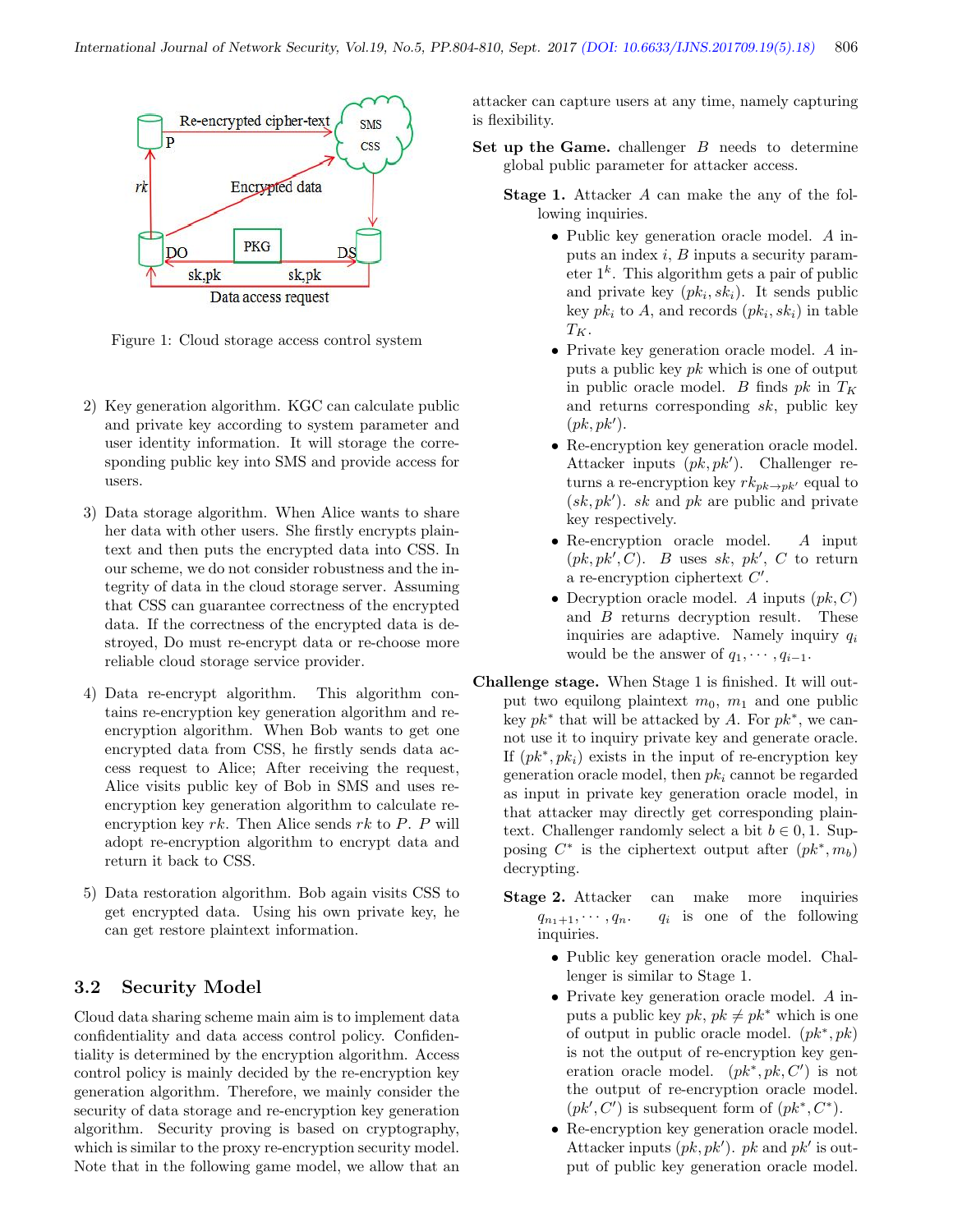

Figure 1: Cloud storage access control system

- 2) Key generation algorithm. KGC can calculate public and private key according to system parameter and user identity information. It will storage the corresponding public key into SMS and provide access for users.
- 3) Data storage algorithm. When Alice wants to share her data with other users. She firstly encrypts plaintext and then puts the encrypted data into CSS. In our scheme, we do not consider robustness and the integrity of data in the cloud storage server. Assuming that CSS can guarantee correctness of the encrypted data. If the correctness of the encrypted data is destroyed, Do must re-encrypt data or re-choose more reliable cloud storage service provider.
- 4) Data re-encrypt algorithm. This algorithm contains re-encryption key generation algorithm and reencryption algorithm. When Bob wants to get one encrypted data from CSS, he firstly sends data access request to Alice; After receiving the request, Alice visits public key of Bob in SMS and uses reencryption key generation algorithm to calculate reencryption key rk. Then Alice sends rk to P. P will adopt re-encryption algorithm to encrypt data and return it back to CSS.
- 5) Data restoration algorithm. Bob again visits CSS to get encrypted data. Using his own private key, he can get restore plaintext information.

#### 3.2 Security Model

Cloud data sharing scheme main aim is to implement data confidentiality and data access control policy. Confidentiality is determined by the encryption algorithm. Access control policy is mainly decided by the re-encryption key generation algorithm. Therefore, we mainly consider the security of data storage and re-encryption key generation algorithm. Security proving is based on cryptography, which is similar to the proxy re-encryption security model. Note that in the following game model, we allow that an

attacker can capture users at any time, namely capturing is flexibility.

Set up the Game. challenger  $B$  needs to determine global public parameter for attacker access.

- Stage 1. Attacker A can make the any of the following inquiries.
	- Public key generation oracle model. A inputs an index  $i$ ,  $B$  inputs a security parameter  $1^k$ . This algorithm gets a pair of public and private key  $(pk_i, sk_i)$ . It sends public key  $pk_i$  to A, and records  $(pk_i, sk_i)$  in table  $T_K$ .
	- Private key generation oracle model. A inputs a public key  $pk$  which is one of output in public oracle model. B finds  $pk$  in  $T_K$ and returns corresponding sk, public key  $(pk, pk').$
	- Re-encryption key generation oracle model. Attacker inputs  $(pk, pk')$ . Challenger returns a re-encryption key  $rk_{pk\rightarrow pk'}$  equal to  $(sk, pk')$ . sk and pk are public and private key respectively.
	- Re-encryption oracle model. A input  $(pk, pk', C)$ . B uses sk, pk', C to return a re-encryption ciphertext  $C'$ .
	- Decryption oracle model. A inputs  $(pk, C)$ and B returns decryption result. These inquiries are adaptive. Namely inquiry  $q_i$ would be the answer of  $q_1, \dots, q_{i-1}$ .
- Challenge stage. When Stage 1 is finished. It will output two equilong plaintext  $m_0$ ,  $m_1$  and one public key  $pk^*$  that will be attacked by A. For  $pk^*$ , we cannot use it to inquiry private key and generate oracle. If  $(pk^*, pk_i)$  exists in the input of re-encryption key generation oracle model, then  $pk_i$  cannot be regarded as input in private key generation oracle model, in that attacker may directly get corresponding plaintext. Challenger randomly select a bit  $b \in 0, 1$ . Supposing  $C^*$  is the ciphertext output after  $(pk^*, m_b)$ decrypting.
	- Stage 2. Attacker can make more inquiries  $q_{n_1+1}, \cdots, q_n$ .  $q_i$ is one of the following inquiries.
		- Public key generation oracle model. Challenger is similar to Stage 1.
		- Private key generation oracle model. A inputs a public key  $pk$ ,  $pk \neq pk^*$  which is one of output in public oracle model.  $(pk^*, pk)$ is not the output of re-encryption key generation oracle model.  $(pk^*, pk, C')$  is not the output of re-encryption oracle model.  $(pk', C')$  is subsequent form of  $(pk^*, C^*)$ .
		- Re-encryption key generation oracle model. Attacker inputs  $(pk, pk')$ . pk and  $pk'$  is output of public key generation oracle model.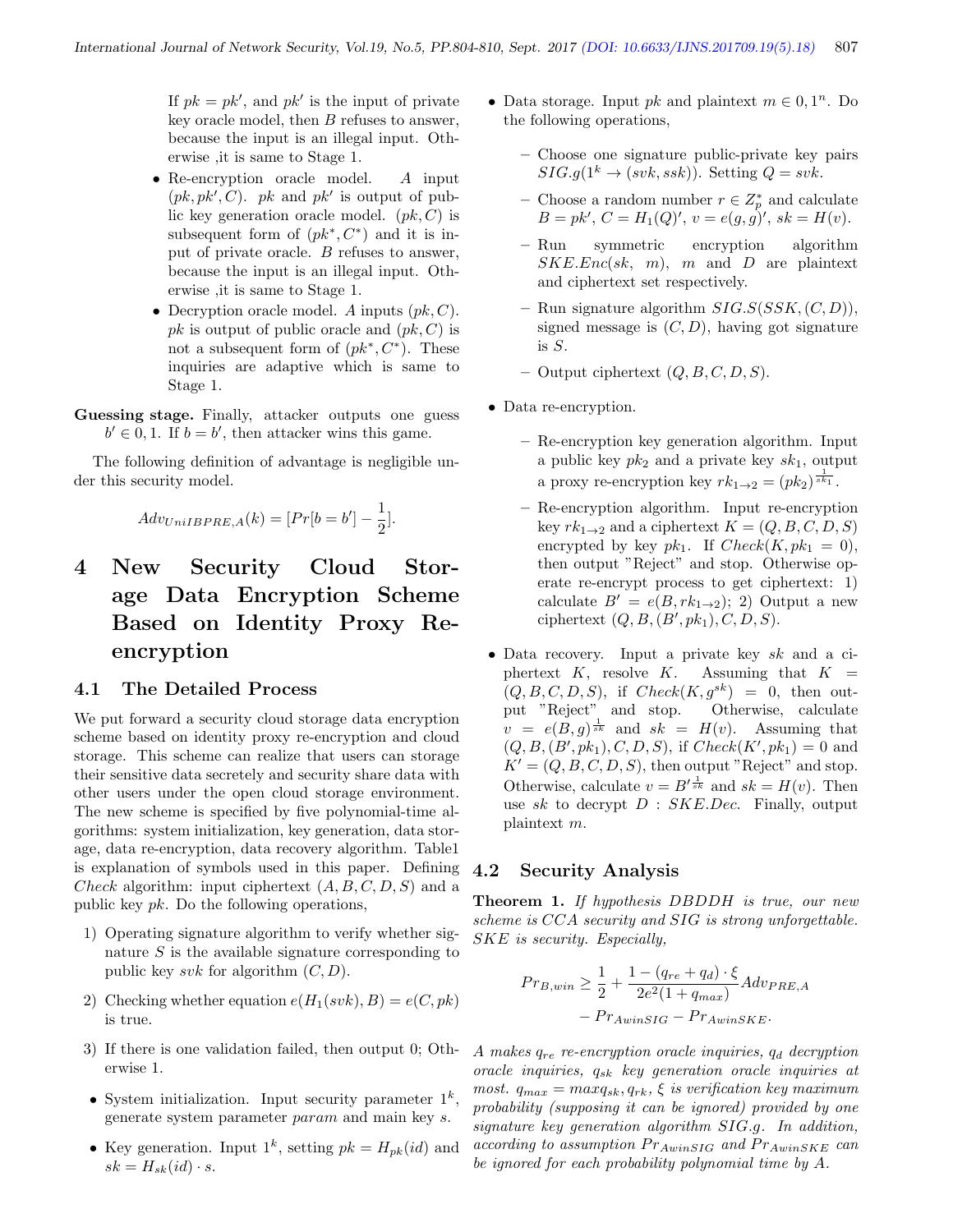If  $pk = pk'$ , and  $pk'$  is the input of private key oracle model, then B refuses to answer, because the input is an illegal input. Otherwise ,it is same to Stage 1.

- Re-encryption oracle model. A input  $(pk, pk', C)$ . *pk* and *pk'* is output of public key generation oracle model.  $(pk, C)$  is subsequent form of  $(pk^*, C^*)$  and it is input of private oracle. B refuses to answer, because the input is an illegal input. Otherwise ,it is same to Stage 1.
- Decryption oracle model. A inputs  $(pk, C)$ . pk is output of public oracle and  $(pk, C)$  is not a subsequent form of  $(pk^*, C^*)$ . These inquiries are adaptive which is same to Stage 1.
- Guessing stage. Finally, attacker outputs one guess  $b' \in 0, 1$ . If  $b = b'$ , then attacker wins this game.

The following definition of advantage is negligible under this security model.

$$
Adv_{UniIBPRE,A}(k) = [Pr[b = b'] - \frac{1}{2}].
$$

4 New Security Cloud Storage Data Encryption Scheme Based on Identity Proxy Reencryption

#### 4.1 The Detailed Process

We put forward a security cloud storage data encryption scheme based on identity proxy re-encryption and cloud storage. This scheme can realize that users can storage their sensitive data secretely and security share data with other users under the open cloud storage environment. The new scheme is specified by five polynomial-time algorithms: system initialization, key generation, data storage, data re-encryption, data recovery algorithm. Table1 is explanation of symbols used in this paper. Defining Check algorithm: input ciphertext  $(A, B, C, D, S)$  and a public key pk. Do the following operations,

- 1) Operating signature algorithm to verify whether signature  $S$  is the available signature corresponding to public key svk for algorithm  $(C, D)$ .
- 2) Checking whether equation  $e(H_1(svk), B) = e(C, pk)$ is true.
- 3) If there is one validation failed, then output 0; Otherwise 1.
- System initialization. Input security parameter  $1^k$ , generate system parameter param and main key s.
- Key generation. Input  $1^k$ , setting  $pk = H_{pk}(id)$  and  $sk = H_{sk}(id) \cdot s.$
- Data storage. Input *pk* and plaintext  $m \in 0, 1<sup>n</sup>$ . Do the following operations,
	- Choose one signature public-private key pairs  $SIG.q(1^k \rightarrow (svk,ssk))$ . Setting  $Q = svk$ .
	- Choose a random number  $r \in Z_p^*$  and calculate  $B = pk', C = H_1(Q)', v = e(g, g)', sk = H(v).$
	- Run symmetric encryption algorithm  $SKE.Enc(sk, m), m$  and D are plaintext and ciphertext set respectively.
	- Run signature algorithm  $SIG.S(SSK,(C,D)),$ signed message is  $(C, D)$ , having got signature is  $S$ .
	- Output ciphertext  $(Q, B, C, D, S)$ .
- Data re-encryption.
	- Re-encryption key generation algorithm. Input a public key  $pk_2$  and a private key  $sk_1$ , output a proxy re-encryption key  $rk_{1\to 2} = (pk_2)^{\frac{1}{sk_1}}$ .
	- Re-encryption algorithm. Input re-encryption key  $rk_{1\rightarrow 2}$  and a ciphertext  $K = (Q, B, C, D, S)$ encrypted by key  $pk_1$ . If  $Check(K, pk_1 = 0)$ , then output "Reject" and stop. Otherwise operate re-encrypt process to get ciphertext: 1) calculate  $B' = e(B, rk_{1\rightarrow 2}); 2)$  Output a new ciphertext  $(Q, B, (B', pk_1), C, D, S)$ .
- Data recovery. Input a private key sk and a ciphertext K, resolve K. Assuming that  $K =$  $(Q, B, C, D, S)$ , if  $Check(K, g^{sk}) = 0$ , then output "Reject" and stop. Otherwise, calculate  $v = e(B, g)^{\frac{1}{sk}}$  and  $sk = H(v)$ . Assuming that  $(Q, B, (B', pk_1), C, D, S)$ , if  $Check(K', pk_1) = 0$  and  $K' = (Q, B, C, D, S)$ , then output "Reject" and stop. Otherwise, calculate  $v = B'^{\frac{1}{sk}}$  and  $sk = H(v)$ . Then use sk to decrypt  $D$  :  $SKE.Dec$ . Finally, output plaintext m.

#### 4.2 Security Analysis

Theorem 1. If hypothesis DBDDH is true, our new scheme is CCA security and SIG is strong unforgettable. SKE is security. Especially,

$$
Pr_{B,win} \ge \frac{1}{2} + \frac{1 - (q_{re} + q_d) \cdot \xi}{2e^2(1 + q_{max})} Adv_{PRE, A}
$$

$$
- Pr_{AwinsIG} - Pr_{AwinsKE}.
$$

A makes  $q_{re}$  re-encryption oracle inquiries,  $q_d$  decryption oracle inquiries, qsk key generation oracle inquiries at most.  $q_{max} = maxq_{sk}, q_{rk}, \xi$  is verification key maximum probability (supposing it can be ignored) provided by one signature key generation algorithm SIG.g. In addition, according to assumption  $Pr_{AwinsIG}$  and  $Pr_{AwinsKE}$  can be ignored for each probability polynomial time by A.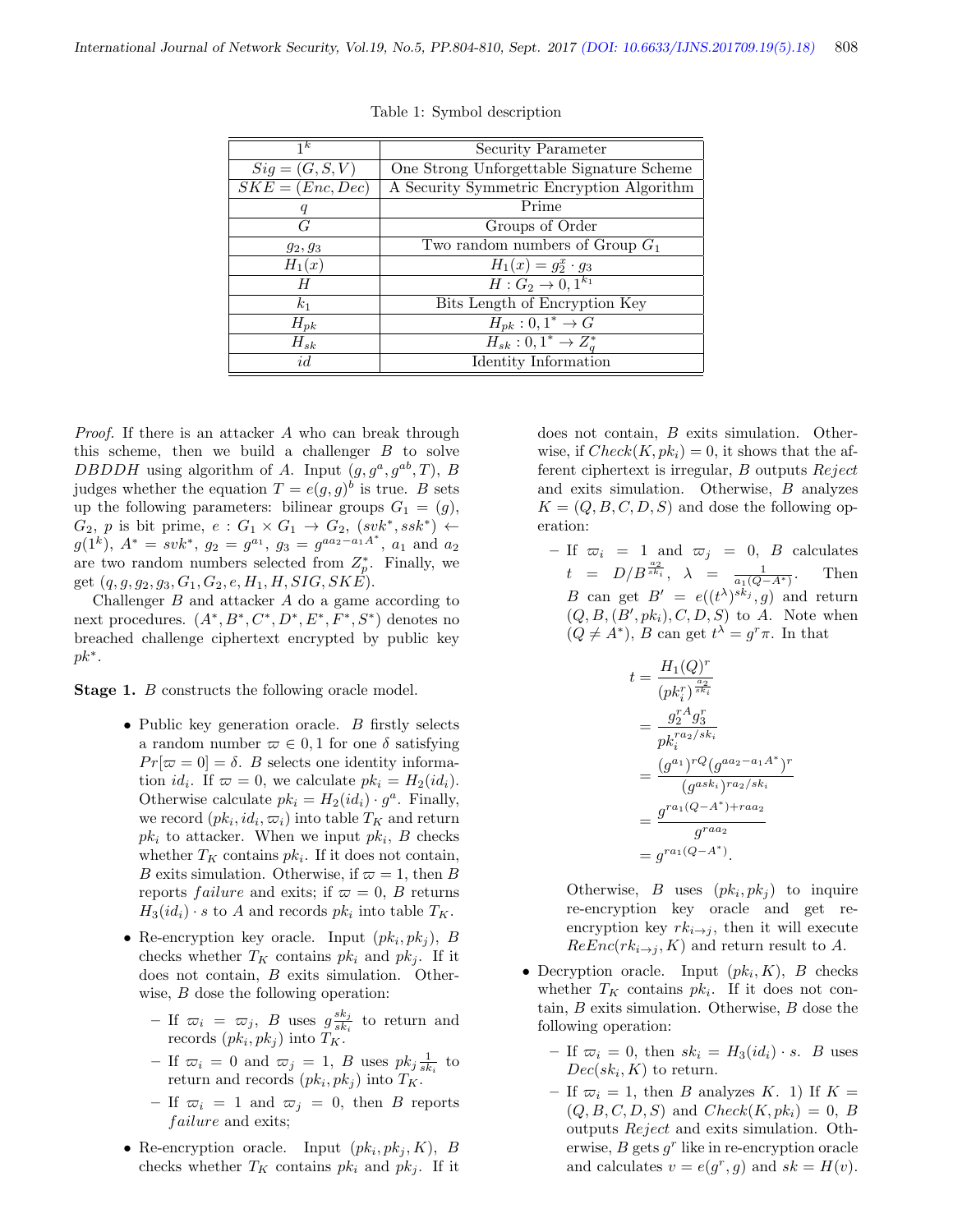| $\overline{1^k}$   | Security Parameter                        |
|--------------------|-------------------------------------------|
| $Sig = (G, S, V)$  | One Strong Unforgettable Signature Scheme |
| $SKE = (Enc, Dec)$ | A Security Symmetric Encryption Algorithm |
| q                  | Prime                                     |
| G                  | Groups of Order                           |
| $g_2, g_3$         | Two random numbers of Group $G_1$         |
| $H_1(x)$           | $H_1(x) = g_2^x \cdot g_3$                |
| H                  | $H: G_2 \to 0, 1^{k_1}$                   |
| $k_1$              | Bits Length of Encryption Key             |
| $H_{pk}$           | $H_{pk}: 0, 1^* \rightarrow G$            |
| $H_{sk}$           | $H_{sk}: 0, 1^* \rightarrow Z_a^*$        |
| id                 | Identity Information                      |

Table 1: Symbol description

Proof. If there is an attacker A who can break through this scheme, then we build a challenger  $B$  to solve DBDDH using algorithm of A. Input  $(g, g^a, g^{ab}, T)$ , B judges whether the equation  $T = e(g, g)^b$  is true. B sets up the following parameters: bilinear groups  $G_1 = (g)$ ,  $G_2$ , p is bit prime,  $e: G_1 \times G_1 \rightarrow G_2$ ,  $(svk^*,ssk^*) \leftarrow$  $g(1^k)$ ,  $A^* = s v k^*$ ,  $g_2 = g^{a_1}$ ,  $g_3 = g^{aa_2 - a_1 A^*}$ ,  $a_1$  and  $a_2$ are two random numbers selected from  $Z_p^*$ . Finally, we get  $(q, g, g_2, g_3, G_1, G_2, e, H_1, H, SIG, SKE)$ .

Challenger B and attacker A do a game according to next procedures.  $(A^*, B^*, C^*, D^*, E^*, F^*, S^*)$  denotes no breached challenge ciphertext encrypted by public key  $pk^*$ .

**Stage 1.** B constructs the following oracle model.

- Public key generation oracle. B firstly selects a random number  $\varpi \in 0, 1$  for one  $\delta$  satisfying  $Pr[\varpi = 0] = \delta$ . B selects one identity information *id<sub>i</sub>*. If  $\varpi = 0$ , we calculate  $pk_i = H_2(id_i)$ . Otherwise calculate  $pk_i = H_2(id_i) \cdot g^a$ . Finally, we record  $(pk_i, id_i, \varpi_i)$  into table  $T_K$  and return  $pk_i$  to attacker. When we input  $pk_i$ , B checks whether  $T_K$  contains  $pk_i$ . If it does not contain, B exits simulation. Otherwise, if  $\varpi = 1$ , then B reports *failure* and exits; if  $\varpi = 0$ , B returns  $H_3(id_i) \cdot s$  to A and records  $pk_i$  into table  $T_K$ .
- Re-encryption key oracle. Input  $(pk_i, pk_j)$ , B checks whether  $T_K$  contains  $pk_i$  and  $pk_j$ . If it does not contain, B exits simulation. Otherwise, *B* dose the following operation:
	- If  $\overline{\omega}_i = \overline{\omega}_j$ , B uses  $g\frac{sk_j}{sk_i}$  $\frac{s\kappa_j}{s k_i}$  to return and records  $(pk_i, pk_j)$  into  $T_K$ .
	- If  $\overline{\omega}_i = 0$  and  $\overline{\omega}_j = 1$ , B uses  $pk_j \frac{1}{sk_i}$  to return and records  $(pk_i, pk_j)$  into  $T_K$ .
	- If  $\overline{\omega}_i = 1$  and  $\overline{\omega}_j = 0$ , then B reports failure and exits;
- Re-encryption oracle. Input  $(pk_i, pk_j, K)$ , B checks whether  $T_K$  contains  $pk_i$  and  $pk_j$ . If it

does not contain, B exits simulation. Otherwise, if  $Check(K, pk_i) = 0$ , it shows that the afferent ciphertext is irregular, B outputs Reject and exits simulation. Otherwise, B analyzes  $K = (Q, B, C, D, S)$  and dose the following operation:

– If  $\overline{\omega}_i = 1$  and  $\overline{\omega}_j = 0$ , B calculates  $t = D/B^{\frac{a_2}{sk_i}}, \lambda = \frac{1}{a_1(Q-A^*)}.$  Then B can get  $B' = e((t^{\lambda})^{sk_j}, g)$  and return  $(Q, B, (B', p k_i), C, D, S)$  to A. Note when  $(Q \neq A^*)$ , B can get  $t^{\lambda} = g^r \pi$ . In that

$$
t = \frac{H_1(Q)^r}{(pk_i^r)^{\frac{a_2}{sk_i}}}
$$
  
= 
$$
\frac{g_i^r A g_3^r}{pk_i^{ra_2/sk_i}}
$$
  
= 
$$
\frac{(g^{a_1})^{rQ}(g^{aa_2-a_1A^*})^r}{(g^{ask_i})^{ra_2/sk_i}}
$$
  
= 
$$
\frac{g^{ra_1(Q-A^*)+raa_2}}{g^{raa_2}}
$$
  
= 
$$
g^{ra_1(Q-A^*)}.
$$

Otherwise, B uses  $(pk_i, pk_j)$  to inquire re-encryption key oracle and get reencryption key  $rk_{i\rightarrow j}$ , then it will execute  $ReEnc(rk_{i\rightarrow j}, K)$  and return result to A.

- Decryption oracle. Input  $(pk_i, K)$ , B checks whether  $T_K$  contains  $pk_i$ . If it does not contain, B exits simulation. Otherwise, B dose the following operation:
	- If  $\overline{\omega}_i = 0$ , then  $sk_i = H_3(id_i) \cdot s$ . B uses  $Dec(sk_i, K)$  to return.
	- If  $\overline{\omega}_i = 1$ , then B analyzes K. 1) If K =  $(Q, B, C, D, S)$  and  $Check(K, pk_i) = 0, B$ outputs Reject and exits simulation. Otherwise,  $B$  gets  $g<sup>r</sup>$  like in re-encryption oracle and calculates  $v = e(g^r, g)$  and  $sk = H(v)$ .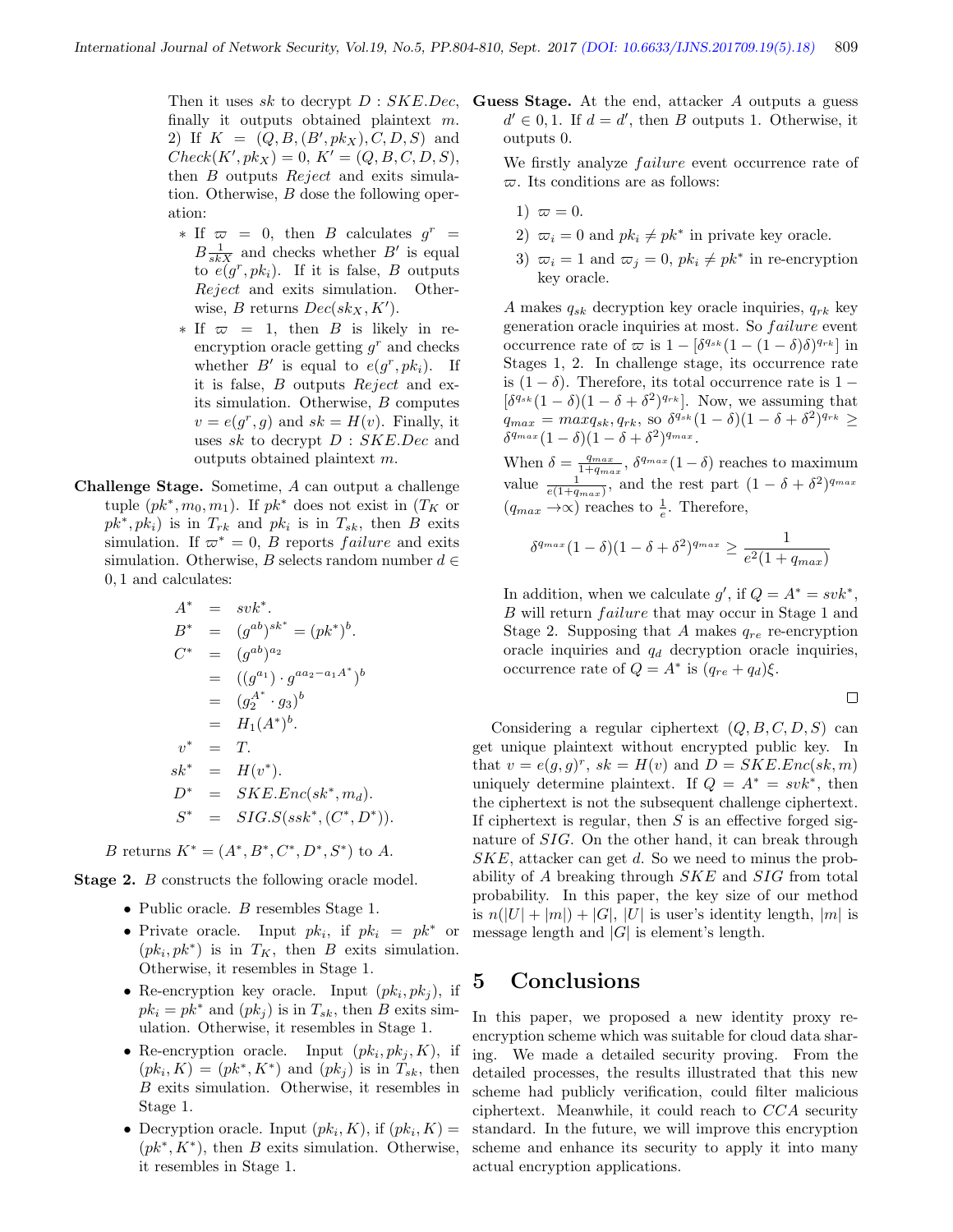Then it uses sk to decrypt  $D : SKE.$  Dec, finally it outputs obtained plaintext m. 2) If  $K = (Q, B, (B', pk_X), C, D, S)$  and  $Check(K', pk_X) = 0, K' = (Q, B, C, D, S),$ then B outputs Reject and exits simulation. Otherwise, B dose the following operation:

- $\ast$  If  $\varpi = 0$ , then *B* calculates  $g^r =$  $B\frac{1}{skX}$  and checks whether  $B'$  is equal to  $e(g^r, pk_i)$ . If it is false, B outputs Reject and exits simulation. Otherwise, *B* returns  $Dec(sk_X, K')$ .
- $*$  If  $\varpi = 1$ , then B is likely in reencryption oracle getting  $g<sup>r</sup>$  and checks whether  $B'$  is equal to  $e(g^r, pk_i)$ . If it is false, B outputs Reject and exits simulation. Otherwise, B computes  $v = e(g^r, g)$  and  $sk = H(v)$ . Finally, it uses sk to decrypt  $D : SKE. Dec$  and outputs obtained plaintext m.
- Challenge Stage. Sometime, A can output a challenge tuple  $(pk^*, m_0, m_1)$ . If  $pk^*$  does not exist in  $(T_K$  or  $pk^*, pk_i$ ) is in  $T_{rk}$  and  $pk_i$  is in  $T_{sk}$ , then B exits simulation. If  $\varpi^* = 0$ , B reports *failure* and exits simulation. Otherwise, B selects random number  $d \in$ 0, 1 and calculates:

$$
A^* = s v k^*.
$$
  
\n
$$
B^* = (g^{ab})^{sk^*} = (p k^*)^b.
$$
  
\n
$$
C^* = (g^{ab})^{a_2}
$$
  
\n
$$
= ((g^{a_1}) \cdot g^{a a_2 - a_1 A^*})^b
$$
  
\n
$$
= (g_2^{A^*} \cdot g_3)^b
$$
  
\n
$$
= H_1 (A^*)^b.
$$
  
\n
$$
v^* = T.
$$
  
\n
$$
sk^* = H(v^*).
$$
  
\n
$$
D^* = SKE.Enc(sk^*, m_d).
$$
  
\n
$$
S^* = SIG.S(s sk^*, (C^*, D^*)).
$$

B returns  $K^* = (A^*, B^*, C^*, D^*, S^*)$  to A.

Stage 2. *B* constructs the following oracle model.

- $\bullet\,$  Public oracle.  $B$  resembles Stage 1.
- Private oracle. Input  $pk_i$ , if  $pk_i = pk^*$  or  $(pk_i, pk^*)$  is in  $T_K$ , then B exits simulation. Otherwise, it resembles in Stage 1.
- Re-encryption key oracle. Input  $(pk_i, pk_j)$ , if  $pk_i = pk^*$  and  $(pk_i)$  is in  $T_{sk}$ , then B exits simulation. Otherwise, it resembles in Stage 1.
- Re-encryption oracle. Input  $(pk_i, pk_j, K)$ , if  $(pk_i, K) = (pk^*, K^*)$  and  $(pk_j)$  is in  $T_{sk}$ , then B exits simulation. Otherwise, it resembles in Stage 1.
- Decryption oracle. Input  $(pk_i, K)$ , if  $(pk_i, K)$  =  $(pk^*, K^*)$ , then B exits simulation. Otherwise, it resembles in Stage 1.

Guess Stage. At the end, attacker A outputs a guess  $d' \in 0, 1$ . If  $d = d'$ , then B outputs 1. Otherwise, it outputs 0.

We firstly analyze *failure* event occurrence rate of  $\varpi$ . Its conditions are as follows:

- 1)  $\varpi = 0$ .
- 2)  $\bar{x}_i = 0$  and  $pk_i \neq pk^*$  in private key oracle.
- 3)  $\overline{\omega}_i = 1$  and  $\overline{\omega}_j = 0$ ,  $pk_i \neq pk^*$  in re-encryption key oracle.

A makes  $q_{sk}$  decryption key oracle inquiries,  $q_{rk}$  key generation oracle inquiries at most. So *failure* event occurrence rate of  $\varpi$  is  $1 - [\delta^{q_{sk}} (1 - (1 - \delta)\delta)^{q_{rk}}]$  in Stages 1, 2. In challenge stage, its occurrence rate is  $(1 - \delta)$ . Therefore, its total occurrence rate is  $1 - \delta$  $\left[\delta^{q_{sk}}(1-\delta)(1-\delta+\delta^2)^{q_{rk}}\right]$ . Now, we assuming that  $q_{max} = maxq_{sk}, q_{rk}$ , so  $\delta^{q_{sk}}(1-\delta)(1-\delta+\delta^2)^{q_{rk}} \geq$  $\delta^{q_{max}}(1-\delta)(1-\delta+\delta^2)^{q_{max}}.$ 

When  $\delta = \frac{q_{max}}{1+q_{max}}$ ,  $\delta^{q_{max}}(1-\delta)$  reaches to maximum value  $\frac{1}{e(1+q_{max})}$ , and the rest part  $(1-\delta+\delta^2)^{q_{max}}$  $(q_{max} \rightarrow \infty)$  reaches to  $\frac{1}{e}$ . Therefore,

$$
\delta^{q_{max}}(1-\delta)(1-\delta+\delta^2)^{q_{max}} \ge \frac{1}{e^2(1+q_{max})}
$$

In addition, when we calculate  $g'$ , if  $Q = A^* = svk^*$ , B will return *failure* that may occur in Stage 1 and Stage 2. Supposing that A makes  $q_{re}$  re-encryption oracle inquiries and  $q_d$  decryption oracle inquiries, occurrence rate of  $Q = A^*$  is  $(q_{re} + q_d)\xi$ .

$$
\qquad \qquad \Box
$$

Considering a regular ciphertext  $(Q, B, C, D, S)$  can get unique plaintext without encrypted public key. In that  $v = e(g, g)^r$ ,  $sk = H(v)$  and  $D = SKE.Enc(sk, m)$ uniquely determine plaintext. If  $Q = A^* = svk^*$ , then the ciphertext is not the subsequent challenge ciphertext. If ciphertext is regular, then  $S$  is an effective forged signature of SIG. On the other hand, it can break through  $SKE$ , attacker can get d. So we need to minus the probability of A breaking through SKE and SIG from total probability. In this paper, the key size of our method is  $n(|U| + |m|) + |G|$ , |U| is user's identity length, |m| is message length and  $|G|$  is element's length.

## 5 Conclusions

In this paper, we proposed a new identity proxy reencryption scheme which was suitable for cloud data sharing. We made a detailed security proving. From the detailed processes, the results illustrated that this new scheme had publicly verification, could filter malicious ciphertext. Meanwhile, it could reach to CCA security standard. In the future, we will improve this encryption scheme and enhance its security to apply it into many actual encryption applications.